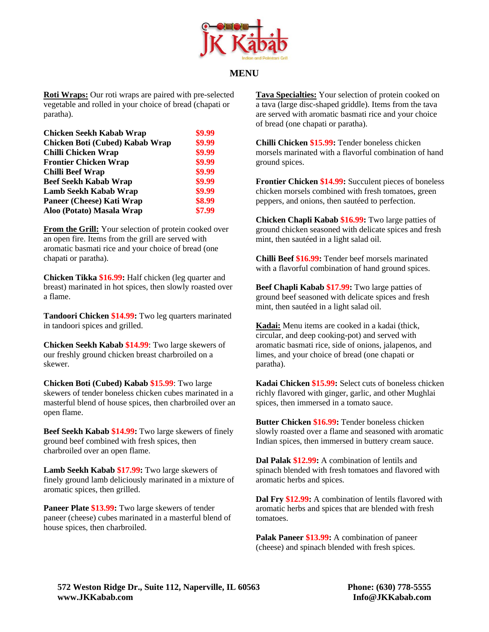

## **MENU**

**Roti Wraps:** Our roti wraps are paired with pre-selected vegetable and rolled in your choice of bread (chapati or paratha).

| <b>Chicken Seekh Kabab Wrap</b> | \$9.99 |
|---------------------------------|--------|
| Chicken Boti (Cubed) Kabab Wrap | \$9.99 |
| Chilli Chicken Wrap             | \$9.99 |
| <b>Frontier Chicken Wrap</b>    | \$9.99 |
| <b>Chilli Beef Wrap</b>         | \$9.99 |
| <b>Beef Seekh Kabab Wrap</b>    | \$9.99 |
| Lamb Seekh Kabab Wrap           | \$9.99 |
| Paneer (Cheese) Kati Wrap       | \$8.99 |
| Aloo (Potato) Masala Wrap       | \$7.99 |

**From the Grill:** Your selection of protein cooked over an open fire. Items from the grill are served with aromatic basmati rice and your choice of bread (one chapati or paratha).

**Chicken Tikka \$16.99:** Half chicken (leg quarter and breast) marinated in hot spices, then slowly roasted over a flame.

**Tandoori Chicken \$14.99:** Two leg quarters marinated in tandoori spices and grilled.

**Chicken Seekh Kabab \$14.99**: Two large skewers of our freshly ground chicken breast charbroiled on a skewer.

**Chicken Boti (Cubed) Kabab \$15.99**: Two large skewers of tender boneless chicken cubes marinated in a masterful blend of house spices, then charbroiled over an open flame.

**Beef Seekh Kabab \$14.99:** Two large skewers of finely ground beef combined with fresh spices, then charbroiled over an open flame.

**Lamb Seekh Kabab \$17.99:** Two large skewers of finely ground lamb deliciously marinated in a mixture of aromatic spices, then grilled.

**Paneer Plate \$13.99:** Two large skewers of tender paneer (cheese) cubes marinated in a masterful blend of house spices, then charbroiled.

**Tava Specialties:** Your selection of protein cooked on a tava (large disc-shaped griddle). Items from the tava are served with aromatic basmati rice and your choice of bread (one chapati or paratha).

**Chilli Chicken \$15.99:** Tender boneless chicken morsels marinated with a flavorful combination of hand ground spices.

**Frontier Chicken \$14.99:** Succulent pieces of boneless chicken morsels combined with fresh tomatoes, green peppers, and onions, then sautéed to perfection.

**Chicken Chapli Kabab \$16.99:** Two large patties of ground chicken seasoned with delicate spices and fresh mint, then sautéed in a light salad oil.

**Chilli Beef \$16.99:** Tender beef morsels marinated with a flavorful combination of hand ground spices.

**Beef Chapli Kabab \$17.99:** Two large patties of ground beef seasoned with delicate spices and fresh mint, then sautéed in a light salad oil.

**Kadai:** Menu items are cooked in a kadai (thick, circular, and deep cooking-pot) and served with aromatic basmati rice, side of onions, jalapenos, and limes, and your choice of bread (one chapati or paratha).

**Kadai Chicken \$15.99:** Select cuts of boneless chicken richly flavored with ginger, garlic, and other Mughlai spices, then immersed in a tomato sauce.

**Butter Chicken \$16.99:** Tender boneless chicken slowly roasted over a flame and seasoned with aromatic Indian spices, then immersed in buttery cream sauce.

**Dal Palak \$12.99:** A combination of lentils and spinach blended with fresh tomatoes and flavored with aromatic herbs and spices.

**Dal Fry \$12.99:** A combination of lentils flavored with aromatic herbs and spices that are blended with fresh tomatoes.

**Palak Paneer \$13.99:** A combination of paneer (cheese) and spinach blended with fresh spices.